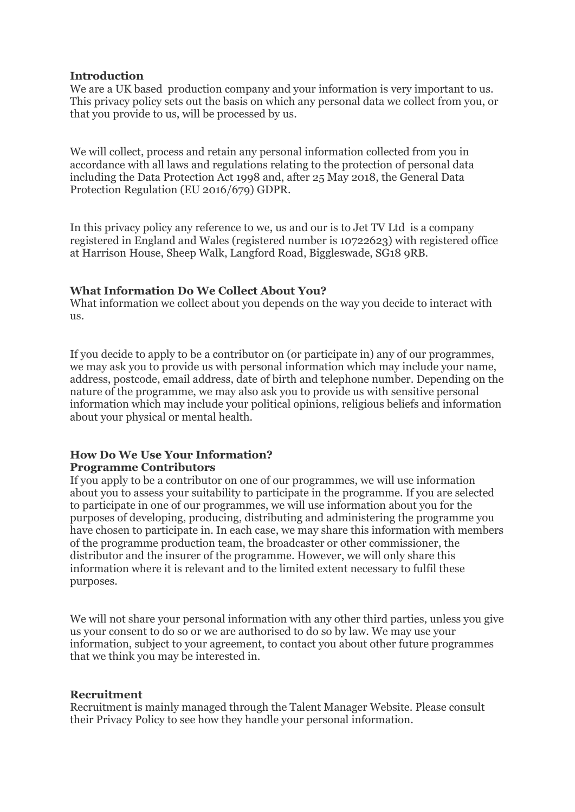## **Introduction**

We are a UK based production company and your information is very important to us. This privacy policy sets out the basis on which any personal data we collect from you, or that you provide to us, will be processed by us.

We will collect, process and retain any personal information collected from you in accordance with all laws and regulations relating to the protection of personal data including the Data Protection Act 1998 and, after 25 May 2018, the General Data Protection Regulation (EU 2016/679) GDPR.

In this privacy policy any reference to we, us and our is to Jet TV Ltd is a company registered in England and Wales (registered number is 10722623) with registered office at Harrison House, Sheep Walk, Langford Road, Biggleswade, SG18 9RB.

## **What Information Do We Collect About You?**

What information we collect about you depends on the way you decide to interact with us.

If you decide to apply to be a contributor on (or participate in) any of our programmes, we may ask you to provide us with personal information which may include your name, address, postcode, email address, date of birth and telephone number. Depending on the nature of the programme, we may also ask you to provide us with sensitive personal information which may include your political opinions, religious beliefs and information about your physical or mental health.

# **How Do We Use Your Information? Programme Contributors**

If you apply to be a contributor on one of our programmes, we will use information about you to assess your suitability to participate in the programme. If you are selected to participate in one of our programmes, we will use information about you for the purposes of developing, producing, distributing and administering the programme you have chosen to participate in. In each case, we may share this information with members of the programme production team, the broadcaster or other commissioner, the distributor and the insurer of the programme. However, we will only share this information where it is relevant and to the limited extent necessary to fulfil these purposes.

We will not share your personal information with any other third parties, unless you give us your consent to do so or we are authorised to do so by law. We may use your information, subject to your agreement, to contact you about other future programmes that we think you may be interested in.

#### **Recruitment**

Recruitment is mainly managed through the Talent Manager Website. Please consult their Privacy Policy to see how they handle your personal information.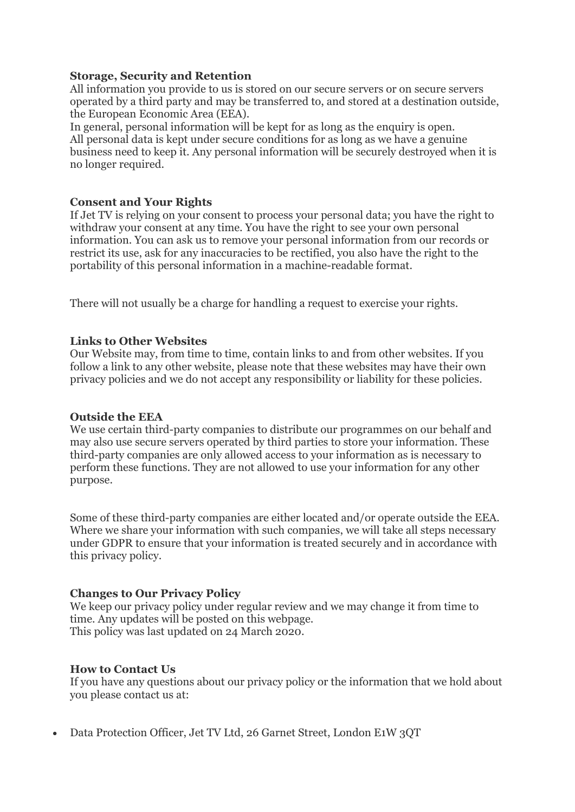## **Storage, Security and Retention**

All information you provide to us is stored on our secure servers or on secure servers operated by a third party and may be transferred to, and stored at a destination outside, the European Economic Area (EEA).

In general, personal information will be kept for as long as the enquiry is open. All personal data is kept under secure conditions for as long as we have a genuine business need to keep it. Any personal information will be securely destroyed when it is no longer required.

# **Consent and Your Rights**

If Jet TV is relying on your consent to process your personal data; you have the right to withdraw your consent at any time. You have the right to see your own personal information. You can ask us to remove your personal information from our records or restrict its use, ask for any inaccuracies to be rectified, you also have the right to the portability of this personal information in a machine-readable format.

There will not usually be a charge for handling a request to exercise your rights.

## **Links to Other Websites**

Our Website may, from time to time, contain links to and from other websites. If you follow a link to any other website, please note that these websites may have their own privacy policies and we do not accept any responsibility or liability for these policies.

# **Outside the EEA**

We use certain third-party companies to distribute our programmes on our behalf and may also use secure servers operated by third parties to store your information. These third-party companies are only allowed access to your information as is necessary to perform these functions. They are not allowed to use your information for any other purpose.

Some of these third-party companies are either located and/or operate outside the EEA. Where we share your information with such companies, we will take all steps necessary under GDPR to ensure that your information is treated securely and in accordance with this privacy policy.

# **Changes to Our Privacy Policy**

We keep our privacy policy under regular review and we may change it from time to time. Any updates will be posted on this webpage. This policy was last updated on 24 March 2020.

# **How to Contact Us**

If you have any questions about our privacy policy or the information that we hold about you please contact us at:

• Data Protection Officer, Jet TV Ltd, 26 Garnet Street, London E1W 3QT